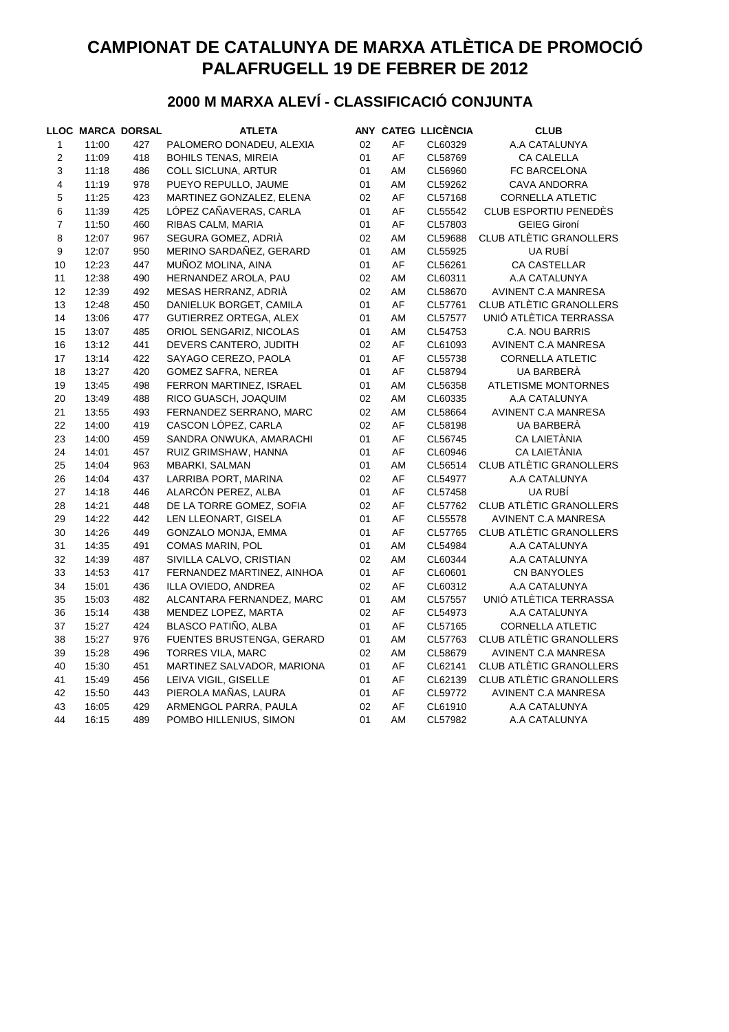# **CAMPIONAT DE CATALUNYA DE MARXA ATLÈTICA DE PROMOCIÓ PALAFRUGELL 19 DE FEBRER DE 2012**

### **2000 M MARXA ALEVÍ - CLASSIFICACIÓ CONJUNTA**

|                |       | <b>LLOC MARCA DORSAL</b> | <b>ATLETA</b>               |    |    | ANY CATEG LLICÈNCIA | <b>CLUB</b>                    |
|----------------|-------|--------------------------|-----------------------------|----|----|---------------------|--------------------------------|
| $\mathbf{1}$   | 11:00 | 427                      | PALOMERO DONADEU, ALEXIA    | 02 | AF | CL60329             | A.A CATALUNYA                  |
| $\sqrt{2}$     | 11:09 | 418                      | <b>BOHILS TENAS, MIREIA</b> | 01 | AF | CL58769             | CA CALELLA                     |
| 3              | 11:18 | 486                      | <b>COLL SICLUNA, ARTUR</b>  | 01 | AM | CL56960             | FC BARCELONA                   |
| 4              | 11:19 | 978                      | PUEYO REPULLO, JAUME        | 01 | AM | CL59262             | <b>CAVA ANDORRA</b>            |
| $\mathbf 5$    | 11:25 | 423                      | MARTINEZ GONZALEZ, ELENA    | 02 | AF | CL57168             | CORNELLA ATLETIC               |
| $\,6$          | 11:39 | 425                      | LÓPEZ CAÑAVERAS, CARLA      | 01 | AF | CL55542             | <b>CLUB ESPORTIU PENEDÈS</b>   |
| $\overline{7}$ | 11:50 | 460                      | RIBAS CALM, MARIA           | 01 | AF | CL57803             | <b>GEIEG Gironí</b>            |
| $\bf 8$        | 12:07 | 967                      | SEGURA GOMEZ, ADRIÀ         | 02 | AM | CL59688             | <b>CLUB ATLÈTIC GRANOLLERS</b> |
| 9              | 12:07 | 950                      | MERINO SARDAÑEZ, GERARD     | 01 | AM | CL55925             | UA RUBÍ                        |
| 10             | 12:23 | 447                      | MUÑOZ MOLINA, AINA          | 01 | AF | CL56261             | <b>CA CASTELLAR</b>            |
| 11             | 12:38 | 490                      | HERNANDEZ AROLA, PAU        | 02 | AM | CL60311             | A.A CATALUNYA                  |
| 12             | 12:39 | 492                      | MESAS HERRANZ, ADRIA        | 02 | AM | CL58670             | AVINENT C.A MANRESA            |
| 13             | 12:48 | 450                      | DANIELUK BORGET, CAMILA     | 01 | AF | CL57761             | <b>CLUB ATLÈTIC GRANOLLERS</b> |
| 14             | 13:06 | 477                      | GUTIERREZ ORTEGA, ALEX      | 01 | AM | CL57577             | UNIÓ ATLÈTICA TERRASSA         |
| 15             | 13:07 | 485                      | ORIOL SENGARIZ, NICOLAS     | 01 | AM | CL54753             | C.A. NOU BARRIS                |
| 16             | 13:12 | 441                      | DEVERS CANTERO, JUDITH      | 02 | AF | CL61093             | AVINENT C.A MANRESA            |
| 17             | 13:14 | 422                      | SAYAGO CEREZO, PAOLA        | 01 | AF | CL55738             | <b>CORNELLA ATLETIC</b>        |
| 18             | 13:27 | 420                      | <b>GOMEZ SAFRA, NEREA</b>   | 01 | AF | CL58794             | UA BARBERÀ                     |
| 19             | 13:45 | 498                      | FERRON MARTINEZ, ISRAEL     | 01 | AM | CL56358             | <b>ATLETISME MONTORNES</b>     |
| 20             | 13:49 | 488                      | RICO GUASCH, JOAQUIM        | 02 | AM | CL60335             | A.A CATALUNYA                  |
| 21             | 13:55 | 493                      | FERNANDEZ SERRANO, MARC     | 02 | AM | CL58664             | AVINENT C.A MANRESA            |
| 22             | 14:00 | 419                      | CASCON LÓPEZ, CARLA         | 02 | AF | CL58198             | UA BARBERÀ                     |
| 23             | 14:00 | 459                      | SANDRA ONWUKA, AMARACHI     | 01 | AF | CL56745             | CA LAIETÀNIA                   |
| 24             | 14:01 | 457                      | RUIZ GRIMSHAW, HANNA        | 01 | AF | CL60946             | CA LAIETÀNIA                   |
| 25             | 14:04 | 963                      | MBARKI, SALMAN              | 01 | AM | CL56514             | <b>CLUB ATLÈTIC GRANOLLERS</b> |
| 26             | 14:04 | 437                      | LARRIBA PORT, MARINA        | 02 | AF | CL54977             | A.A CATALUNYA                  |
| 27             | 14:18 | 446                      | ALARCÓN PEREZ, ALBA         | 01 | AF | CL57458             | UA RUBÍ                        |
| 28             | 14:21 | 448                      | DE LA TORRE GOMEZ, SOFIA    | 02 | AF | CL57762             | <b>CLUB ATLÈTIC GRANOLLERS</b> |
| 29             | 14:22 | 442                      | LEN LLEONART, GISELA        | 01 | AF | CL55578             | AVINENT C.A MANRESA            |
| 30             | 14:26 | 449                      | GONZALO MONJA, EMMA         | 01 | AF | CL57765             | <b>CLUB ATLÈTIC GRANOLLERS</b> |
| 31             | 14:35 | 491                      | COMAS MARIN, POL            | 01 | AM | CL54984             | A.A CATALUNYA                  |
| 32             | 14:39 | 487                      | SIVILLA CALVO, CRISTIAN     | 02 | AM | CL60344             | A.A CATALUNYA                  |
| 33             | 14:53 | 417                      | FERNANDEZ MARTINEZ, AINHOA  | 01 | AF | CL60601             | CN BANYOLES                    |
| 34             | 15:01 | 436                      | ILLA OVIEDO, ANDREA         | 02 | AF | CL60312             | A.A CATALUNYA                  |
| 35             | 15:03 | 482                      | ALCANTARA FERNANDEZ, MARC   | 01 | AM | CL57557             | UNIÓ ATLÈTICA TERRASSA         |
| 36             | 15:14 | 438                      | MENDEZ LOPEZ, MARTA         | 02 | AF | CL54973             | A.A CATALUNYA                  |
| 37             | 15:27 | 424                      | BLASCO PATIÑO, ALBA         | 01 | AF | CL57165             | <b>CORNELLA ATLETIC</b>        |
| 38             | 15:27 | 976                      | FUENTES BRUSTENGA, GERARD   | 01 | AM | CL57763             | CLUB ATLÈTIC GRANOLLERS        |
| 39             | 15:28 | 496                      | TORRES VILA, MARC           | 02 | AM | CL58679             | <b>AVINENT C.A MANRESA</b>     |
| 40             | 15:30 | 451                      | MARTINEZ SALVADOR, MARIONA  | 01 | AF | CL62141             | CLUB ATLÈTIC GRANOLLERS        |
| 41             | 15:49 | 456                      | LEIVA VIGIL, GISELLE        | 01 | AF | CL62139             | <b>CLUB ATLÈTIC GRANOLLERS</b> |
| 42             | 15:50 | 443                      | PIEROLA MAÑAS, LAURA        | 01 | AF | CL59772             | AVINENT C.A MANRESA            |
| 43             | 16:05 | 429                      | ARMENGOL PARRA, PAULA       | 02 | AF | CL61910             | A.A CATALUNYA                  |
| 44             | 16:15 | 489                      | POMBO HILLENIUS, SIMON      | 01 | AM | CL57982             | A.A CATALUNYA                  |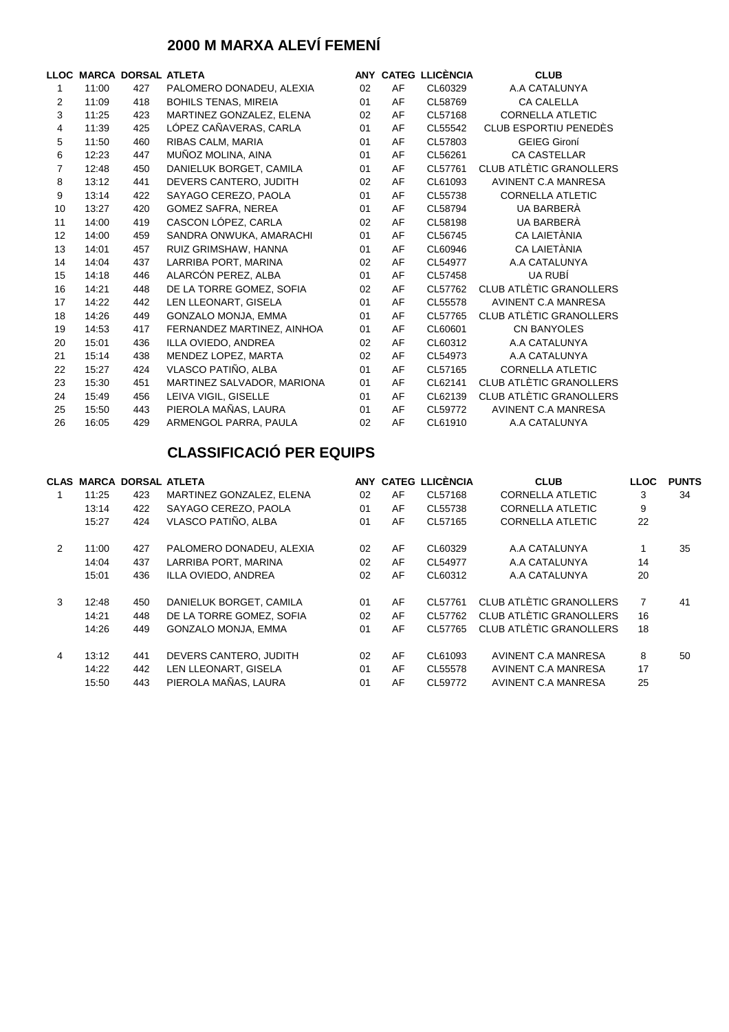### **2000 M MARXA ALEVÍ FEMENÍ**

|                |       | LLOC MARCA DORSAL ATLETA |                             |    |    | ANY CATEG LLICÈNCIA | <b>CLUB</b>                |
|----------------|-------|--------------------------|-----------------------------|----|----|---------------------|----------------------------|
| 1              | 11:00 | 427                      | PALOMERO DONADEU, ALEXIA    | 02 | AF | CL60329             | A.A CATALUNYA              |
| 2              | 11:09 | 418                      | <b>BOHILS TENAS, MIREIA</b> | 01 | AF | CL58769             | <b>CA CALELLA</b>          |
| 3              | 11:25 | 423                      | MARTINEZ GONZALEZ, ELENA    | 02 | AF | CL57168             | <b>CORNELLA ATLETIC</b>    |
| 4              | 11:39 | 425                      | LÓPEZ CAÑAVERAS, CARLA      | 01 | AF | CL55542             | CLUB ESPORTIU PENEDÈS      |
| 5              | 11:50 | 460                      | RIBAS CALM, MARIA           | 01 | AF | CL57803             | <b>GEIEG Gironí</b>        |
| 6              | 12:23 | 447                      | MUÑOZ MOLINA, AINA          | 01 | AF | CL56261             | <b>CA CASTELLAR</b>        |
| $\overline{7}$ | 12:48 | 450                      | DANIELUK BORGET, CAMILA     | 01 | AF | CL57761             | CLUB ATLÈTIC GRANOLLERS    |
| 8              | 13:12 | 441                      | DEVERS CANTERO, JUDITH      | 02 | AF | CL61093             | AVINENT C.A MANRESA        |
| 9              | 13:14 | 422                      | SAYAGO CEREZO, PAOLA        | 01 | AF | CL55738             | <b>CORNELLA ATLETIC</b>    |
| 10             | 13:27 | 420                      | <b>GOMEZ SAFRA, NEREA</b>   | 01 | AF | CL58794             | UA BARBERÀ                 |
| 11             | 14:00 | 419                      | CASCON LÓPEZ, CARLA         | 02 | AF | CL58198             | UA BARBERÀ                 |
| 12             | 14:00 | 459                      | SANDRA ONWUKA, AMARACHI     | 01 | AF | CL56745             | CA LAIETÀNIA               |
| 13             | 14:01 | 457                      | RUIZ GRIMSHAW, HANNA        | 01 | AF | CL60946             | CA LAIETÀNIA               |
| 14             | 14:04 | 437                      | LARRIBA PORT, MARINA        | 02 | AF | CL54977             | A.A CATALUNYA              |
| 15             | 14:18 | 446                      | ALARCÓN PEREZ, ALBA         | 01 | AF | CL57458             | UA RUBÍ                    |
| 16             | 14:21 | 448                      | DE LA TORRE GOMEZ, SOFIA    | 02 | AF | CL57762             | CLUB ATLÈTIC GRANOLLERS    |
| 17             | 14:22 | 442                      | LEN LLEONART, GISELA        | 01 | AF | CL55578             | <b>AVINENT C.A MANRESA</b> |
| 18             | 14:26 | 449                      | GONZALO MONJA, EMMA         | 01 | AF | CL57765             | CLUB ATLÈTIC GRANOLLERS    |
| 19             | 14:53 | 417                      | FERNANDEZ MARTINEZ, AINHOA  | 01 | AF | CL60601             | <b>CN BANYOLES</b>         |
| 20             | 15:01 | 436                      | ILLA OVIEDO, ANDREA         | 02 | AF | CL60312             | A.A CATALUNYA              |
| 21             | 15:14 | 438                      | MENDEZ LOPEZ, MARTA         | 02 | AF | CL54973             | A.A CATALUNYA              |
| 22             | 15:27 | 424                      | VLASCO PATIÑO, ALBA         | 01 | AF | CL57165             | <b>CORNELLA ATLETIC</b>    |
| 23             | 15:30 | 451                      | MARTINEZ SALVADOR, MARIONA  | 01 | AF | CL62141             | CLUB ATLÈTIC GRANOLLERS    |
| 24             | 15:49 | 456                      | LEIVA VIGIL, GISELLE        | 01 | AF | CL62139             | CLUB ATLÈTIC GRANOLLERS    |
| 25             | 15:50 | 443                      | PIEROLA MAÑAS, LAURA        | 01 | AF | CL59772             | <b>AVINENT C.A MANRESA</b> |
| 26             | 16:05 | 429                      | ARMENGOL PARRA, PAULA       | 02 | AF | CL61910             | A.A CATALUNYA              |

| <b>CLAS</b> |       | <b>MARCA DORSAL ATLETA</b> |                            |    |    | ANY CATEG LLICÈNCIA | <b>CLUB</b>             | <b>LLOC</b>    | <b>PUNTS</b> |
|-------------|-------|----------------------------|----------------------------|----|----|---------------------|-------------------------|----------------|--------------|
|             | 11:25 | 423                        | MARTINEZ GONZALEZ, ELENA   | 02 | AF | CL57168             | <b>CORNELLA ATLETIC</b> | 3              | 34           |
|             | 13:14 | 422                        | SAYAGO CEREZO, PAOLA       | 01 | AF | CL55738             | <b>CORNELLA ATLETIC</b> | 9              |              |
|             | 15:27 | 424                        | VLASCO PATIÑO. ALBA        | 01 | AF | CL57165             | <b>CORNELLA ATLETIC</b> | 22             |              |
| 2           | 11:00 | 427                        | PALOMERO DONADEU, ALEXIA   | 02 | AF | CL60329             | A.A CATALUNYA           |                | 35           |
|             | 14:04 | 437                        | LARRIBA PORT, MARINA       | 02 | AF | CL54977             | A.A CATALUNYA           | 14             |              |
|             | 15:01 | 436                        | ILLA OVIEDO, ANDREA        | 02 | AF | CL60312             | A.A CATALUNYA           | 20             |              |
| 3           | 12:48 | 450                        | DANIELUK BORGET, CAMILA    | 01 | AF | CL57761             | CLUB ATLÈTIC GRANOLLERS | $\overline{7}$ | 41           |
|             | 14:21 | 448                        | DE LA TORRE GOMEZ, SOFIA   | 02 | AF | CL57762             | CLUB ATLÈTIC GRANOLLERS | 16             |              |
|             | 14:26 | 449                        | <b>GONZALO MONJA, EMMA</b> | 01 | AF | CL57765             | CLUB ATLÈTIC GRANOLLERS | 18             |              |
| 4           | 13:12 | 441                        | DEVERS CANTERO, JUDITH     | 02 | AF | CL61093             | AVINENT C.A MANRESA     | 8              | 50           |
|             | 14:22 | 442                        | LEN LLEONART, GISELA       | 01 | AF | CL55578             | AVINENT C.A MANRESA     | 17             |              |
|             | 15:50 | 443                        | PIEROLA MAÑAS. LAURA       | 01 | AF | CL59772             | AVINENT C.A MANRESA     | 25             |              |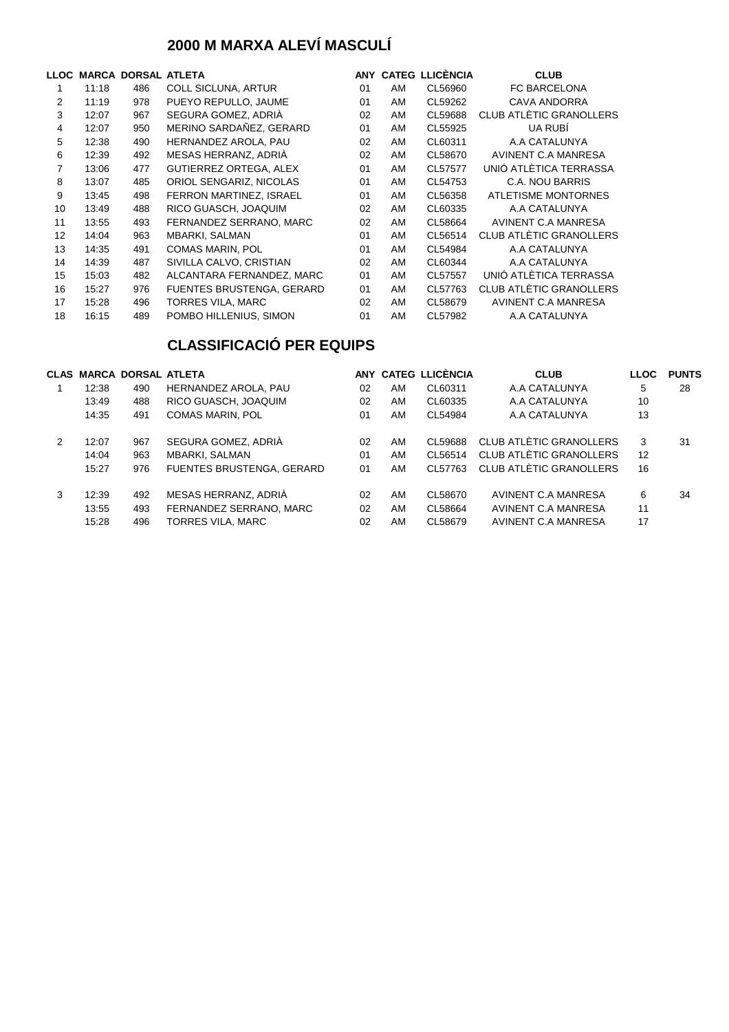### **2000 M MARXA ALEVÍ MASCULÍ**

| LLOC |       | <b>MARCA DORSAL ATLETA</b> |                                  |    |    | ANY CATEG LLICÈNCIA | <b>CLUB</b>                    |
|------|-------|----------------------------|----------------------------------|----|----|---------------------|--------------------------------|
| 1    | 11:18 | 486                        | <b>COLL SICLUNA, ARTUR</b>       | 01 | AM | CL56960             | <b>FC BARCELONA</b>            |
| 2    | 11:19 | 978                        | PUEYO REPULLO, JAUME             | 01 | AM | CL59262             | <b>CAVA ANDORRA</b>            |
| 3    | 12:07 | 967                        | SEGURA GOMEZ, ADRIÀ              | 02 | AM | CL59688             | <b>CLUB ATLÈTIC GRANOLLERS</b> |
| 4    | 12:07 | 950                        | MERINO SARDAÑEZ, GERARD          | 01 | AM | CL55925             | UA RUBÍ                        |
| 5    | 12:38 | 490                        | HERNANDEZ AROLA, PAU             | 02 | AM | CL60311             | A.A CATALUNYA                  |
| 6    | 12:39 | 492                        | MESAS HERRANZ, ADRIÀ             | 02 | AM | CL58670             | AVINENT C.A MANRESA            |
| 7    | 13:06 | 477                        | GUTIERREZ ORTEGA, ALEX           | 01 | AM | CL57577             | UNIÓ ATLÈTICA TERRASSA         |
| 8    | 13:07 | 485                        | ORIOL SENGARIZ, NICOLAS          | 01 | AM | CL54753             | C.A. NOU BARRIS                |
| 9    | 13:45 | 498                        | FERRON MARTINEZ, ISRAEL          | 01 | AM | CL56358             | <b>ATLETISME MONTORNES</b>     |
| 10   | 13:49 | 488                        | RICO GUASCH, JOAQUIM             | 02 | AM | CL60335             | A.A CATALUNYA                  |
| 11   | 13:55 | 493                        | FERNANDEZ SERRANO, MARC          | 02 | AM | CL58664             | AVINENT C.A MANRESA            |
| 12   | 14:04 | 963                        | MBARKI, SALMAN                   | 01 | AM | CL56514             | <b>CLUB ATLÈTIC GRANOLLERS</b> |
| 13   | 14:35 | 491                        | <b>COMAS MARIN, POL</b>          | 01 | AM | CL54984             | A.A CATALUNYA                  |
| 14   | 14:39 | 487                        | SIVILLA CALVO, CRISTIAN          | 02 | AM | CL60344             | A.A CATALUNYA                  |
| 15   | 15:03 | 482                        | ALCANTARA FERNANDEZ, MARC        | 01 | AM | CL57557             | UNIÓ ATLÈTICA TERRASSA         |
| 16   | 15:27 | 976                        | <b>FUENTES BRUSTENGA, GERARD</b> | 01 | AM | CL57763             | CLUB ATLÈTIC GRANOLLERS        |
| 17   | 15:28 | 496                        | TORRES VILA, MARC                | 02 | AM | CL58679             | AVINENT C.A MANRESA            |
| 18   | 16:15 | 489                        | POMBO HILLENIUS, SIMON           | 01 | AM | CL57982             | A.A CATALUNYA                  |

|   |       | <b>CLAS MARCA DORSAL ATLETA</b> |                                  |    |    | ANY CATEG LLICÈNCIA | <b>CLUB</b>             | <b>LLOC</b> | <b>PUNTS</b> |
|---|-------|---------------------------------|----------------------------------|----|----|---------------------|-------------------------|-------------|--------------|
|   | 12:38 | 490                             | HERNANDEZ AROLA, PAU             | 02 | AM | CL60311             | A.A CATALUNYA           | 5           | 28           |
|   | 13:49 | 488                             | RICO GUASCH, JOAQUIM             | 02 | AM | CL60335             | A.A CATALUNYA           | 10          |              |
|   | 14:35 | 491                             | <b>COMAS MARIN, POL</b>          | 01 | AM | CL54984             | A.A CATALUNYA           | 13          |              |
| 2 | 12:07 | 967                             | SEGURA GOMEZ, ADRIA              | 02 | AM | CI 59688            | CLUB ATLÈTIC GRANOLLERS | 3           | 31           |
|   | 14:04 | 963                             | <b>MBARKI, SALMAN</b>            | 01 | AM | CI 56514            | CLUB ATLÈTIC GRANOLLERS | 12          |              |
|   | 15:27 | 976                             | <b>FUENTES BRUSTENGA, GERARD</b> | 01 | AM | CL 57763            | CLUB ATLÈTIC GRANOLLERS | 16          |              |
| 3 | 12:39 | 492                             | MESAS HERRANZ, ADRIÀ             | 02 | AM | CL58670             | AVINENT C.A MANRESA     | 6           | 34           |
|   | 13:55 | 493                             | FERNANDEZ SERRANO, MARC          | 02 | AM | CL58664             | AVINENT C.A MANRESA     | 11          |              |
|   | 15:28 | 496                             | TORRES VILA, MARC                | 02 | AM | CL58679             | AVINENT C.A MANRESA     | 17          |              |
|   |       |                                 |                                  |    |    |                     |                         |             |              |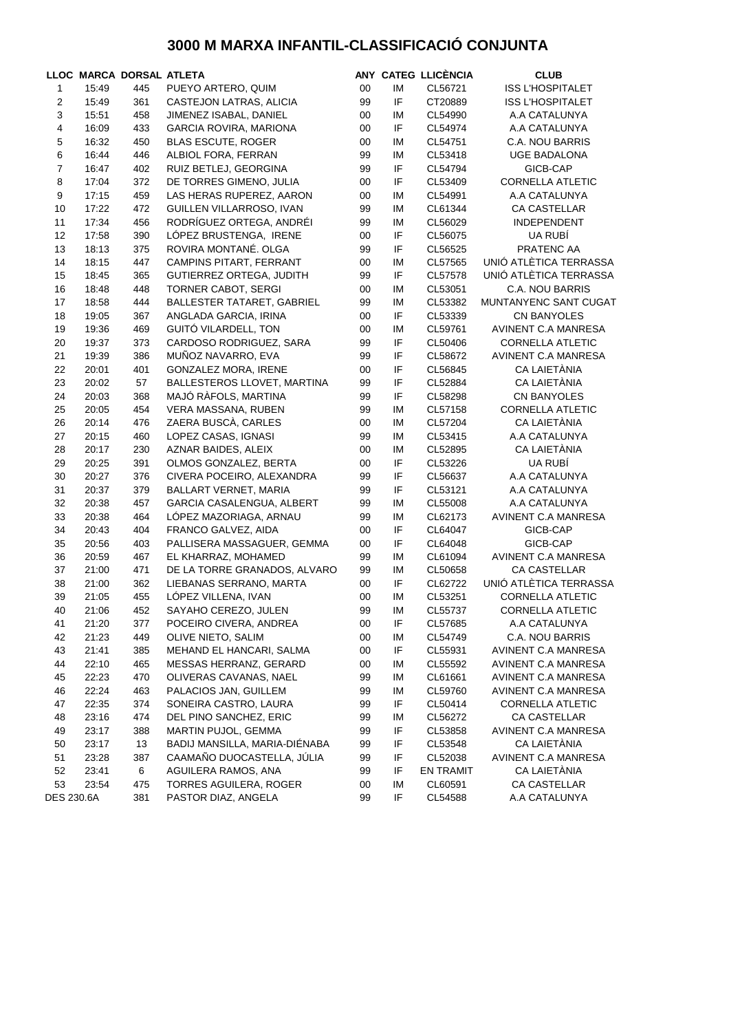### **3000 M MARXA INFANTIL-CLASSIFICACIÓ CONJUNTA**

|                |       | LLOC MARCA DORSAL ATLETA |                               |        |    | ANY CATEG LLICÈNCIA | <b>CLUB</b>             |
|----------------|-------|--------------------------|-------------------------------|--------|----|---------------------|-------------------------|
| 1              | 15:49 | 445                      | PUEYO ARTERO, QUIM            | 00     | IM | CL56721             | <b>ISS L'HOSPITALET</b> |
| $\sqrt{2}$     | 15:49 | 361                      | CASTEJON LATRAS, ALICIA       | 99     | IF | CT20889             | <b>ISS L'HOSPITALET</b> |
| $\mathsf 3$    | 15:51 | 458                      | JIMENEZ ISABAL, DANIEL        | 00     | IM | CL54990             | A.A CATALUNYA           |
| $\pmb{4}$      | 16:09 | 433                      | GARCIA ROVIRA, MARIONA        | 00     | IF | CL54974             | A.A CATALUNYA           |
| 5              | 16:32 | 450                      | <b>BLAS ESCUTE, ROGER</b>     | 00     | ΙM | CL54751             | C.A. NOU BARRIS         |
| $\,6$          | 16:44 | 446                      | ALBIOL FORA, FERRAN           | 99     | ΙM | CL53418             | <b>UGE BADALONA</b>     |
| $\overline{7}$ | 16:47 | 402                      | RUIZ BETLEJ, GEORGINA         | 99     | IF | CL54794             | GICB-CAP                |
| $\bf 8$        | 17:04 | 372                      | DE TORRES GIMENO, JULIA       | 00     | IF | CL53409             | <b>CORNELLA ATLETIC</b> |
| 9              | 17:15 | 459                      | LAS HERAS RUPEREZ, AARON      | 00     | IM | CL54991             | A.A CATALUNYA           |
| 10             | 17:22 | 472                      | GUILLEN VILLARROSO, IVAN      | 99     | ΙM | CL61344             | <b>CA CASTELLAR</b>     |
| 11             | 17:34 | 456                      | RODRÍGUEZ ORTEGA, ANDRÉI      | 99     | IM | CL56029             | <b>INDEPENDENT</b>      |
| 12             | 17:58 | 390                      | LÓPEZ BRUSTENGA, IRENE        | 00     | IF | CL56075             | UA RUBÍ                 |
| 13             | 18:13 | 375                      | ROVIRA MONTANÉ. OLGA          | 99     | IF | CL56525             | PRATENC AA              |
| 14             | 18:15 | 447                      | CAMPINS PITART, FERRANT       | 00     | IM | CL57565             | UNIÓ ATLÈTICA TERRASSA  |
| 15             | 18:45 | 365                      | GUTIERREZ ORTEGA, JUDITH      | 99     | IF | CL57578             | UNIÓ ATLÈTICA TERRASSA  |
| 16             | 18:48 | 448                      | TORNER CABOT, SERGI           | 00     | IM | CL53051             | C.A. NOU BARRIS         |
| 17             | 18:58 | 444                      | BALLESTER TATARET, GABRIEL    | 99     | IM | CL53382             | MUNTANYENC SANT CUGAT   |
| 18             | 19:05 | 367                      | ANGLADA GARCIA, IRINA         | 00     | IF | CL53339             | CN BANYOLES             |
| 19             | 19:36 | 469                      | GUITÓ VILARDELL, TON          | 00     | IM | CL59761             | AVINENT C.A MANRESA     |
| 20             | 19:37 | 373                      | CARDOSO RODRIGUEZ, SARA       | 99     | IF | CL50406             | <b>CORNELLA ATLETIC</b> |
| 21             | 19:39 | 386                      | MUÑOZ NAVARRO, EVA            | 99     | IF | CL58672             | AVINENT C.A MANRESA     |
| 22             | 20:01 | 401                      | GONZALEZ MORA, IRENE          | 00     | IF | CL56845             | CA LAIETÀNIA            |
| 23             | 20:02 | 57                       | BALLESTEROS LLOVET, MARTINA   | 99     | IF | CL52884             | CA LAIETÀNIA            |
| 24             | 20:03 | 368                      | MAJÓ RÀFOLS, MARTINA          | 99     | IF | CL58298             | <b>CN BANYOLES</b>      |
| 25             | 20:05 | 454                      | VERA MASSANA, RUBEN           | 99     | IM | CL57158             | <b>CORNELLA ATLETIC</b> |
| 26             | 20:14 | 476                      | ZAERA BUSCÀ, CARLES           | $00\,$ | IM | CL57204             | CA LAIETÀNIA            |
| 27             | 20:15 | 460                      | LOPEZ CASAS, IGNASI           | 99     | IM | CL53415             | A.A CATALUNYA           |
| 28             | 20:17 | 230                      | AZNAR BAIDES, ALEIX           | 00     | IM | CL52895             | CA LAIETÀNIA            |
| 29             | 20:25 | 391                      | OLMOS GONZALEZ, BERTA         | 00     | IF | CL53226             | UA RUBÍ                 |
| 30             | 20:27 | 376                      | CIVERA POCEIRO, ALEXANDRA     | 99     | IF | CL56637             | A.A CATALUNYA           |
| 31             | 20:37 | 379                      | <b>BALLART VERNET, MARIA</b>  | 99     | IF | CL53121             | A.A CATALUNYA           |
| 32             | 20:38 | 457                      | GARCIA CASALENGUA, ALBERT     | 99     | IM | CL55008             | A.A CATALUNYA           |
| 33             | 20:38 | 464                      | LÓPEZ MAZORIAGA, ARNAU        | 99     | IM | CL62173             | AVINENT C.A MANRESA     |
| 34             | 20:43 | 404                      | FRANCO GALVEZ, AIDA           | 00     | IF | CL64047             | GICB-CAP                |
| 35             | 20:56 | 403                      | PALLISERA MASSAGUER, GEMMA    | 00     | IF | CL64048             | GICB-CAP                |
| 36             | 20:59 | 467                      | EL KHARRAZ, MOHAMED           | 99     | IM | CL61094             | AVINENT C.A MANRESA     |
| 37             | 21:00 | 471                      | DE LA TORRE GRANADOS, ALVARO  | 99     | ΙM | CL50658             | <b>CA CASTELLAR</b>     |
| 38             | 21:00 | 362                      | LIEBANAS SERRANO, MARTA       | 00     | IF | CL62722             | UNIÓ ATLÈTICA TERRASSA  |
| 39             | 21:05 | 455                      | LÓPEZ VILLENA, IVAN           | 00     | IM | CL53251             | <b>CORNELLA ATLETIC</b> |
| 40             | 21:06 | 452                      | SAYAHO CEREZO, JULEN          | 99     | IM | CL55737             | <b>CORNELLA ATLETIC</b> |
| 41             | 21:20 | 377                      | POCEIRO CIVERA, ANDREA        | 00     | IF | CL57685             | A.A CATALUNYA           |
| 42             | 21:23 | 449                      | OLIVE NIETO, SALIM            | 00     | IM | CL54749             | C.A. NOU BARRIS         |
| 43             | 21:41 | 385                      | MEHAND EL HANCARI, SALMA      | 00     | IF | CL55931             | AVINENT C.A MANRESA     |
| 44             | 22:10 | 465                      | MESSAS HERRANZ, GERARD        | 00     | IM | CL55592             | AVINENT C.A MANRESA     |
| 45             | 22:23 | 470                      | OLIVERAS CAVANAS, NAEL        | 99     | IM | CL61661             | AVINENT C.A MANRESA     |
| 46             | 22:24 | 463                      | PALACIOS JAN, GUILLEM         | 99     | IM | CL59760             | AVINENT C.A MANRESA     |
| 47             | 22:35 | 374                      | SONEIRA CASTRO, LAURA         | 99     | IF | CL50414             | <b>CORNELLA ATLETIC</b> |
| 48             | 23:16 | 474                      | DEL PINO SANCHEZ, ERIC        | 99     | IM | CL56272             | <b>CA CASTELLAR</b>     |
| 49             | 23:17 | 388                      | MARTIN PUJOL, GEMMA           | 99     | IF | CL53858             | AVINENT C.A MANRESA     |
| 50             | 23:17 | 13                       | BADIJ MANSILLA, MARIA-DIÉNABA | 99     | IF | CL53548             | CA LAIETÀNIA            |
| 51             | 23:28 | 387                      | CAAMAÑO DUOCASTELLA, JÚLIA    | 99     | IF | CL52038             | AVINENT C.A MANRESA     |
| 52             | 23:41 | 6                        | AGUILERA RAMOS, ANA           | 99     | IF | <b>EN TRAMIT</b>    | CA LAIETÀNIA            |
| 53             | 23:54 | 475                      | TORRES AGUILERA, ROGER        | 00     | IM | CL60591             | CA CASTELLAR            |
| DES 230.6A     |       | 381                      | PASTOR DIAZ, ANGELA           | 99     | IF | CL54588             | A.A CATALUNYA           |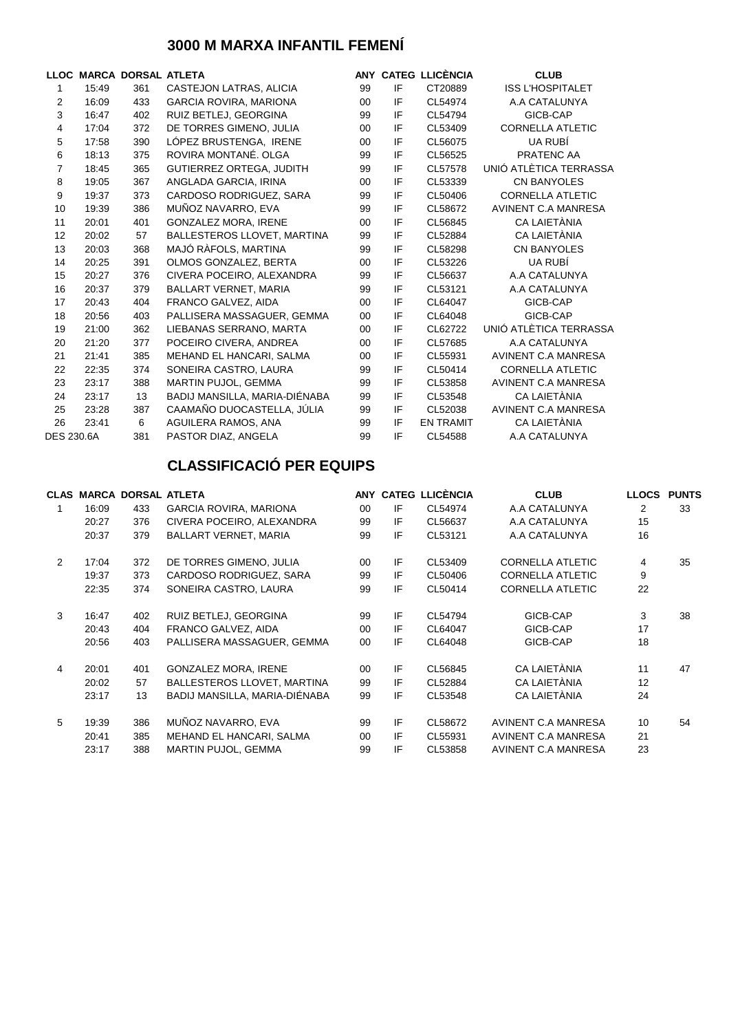### **3000 M MARXA INFANTIL FEMENÍ**

|                   |       | LLOC MARCA DORSAL ATLETA |                                 |         |    | ANY CATEG LLICÈNCIA | <b>CLUB</b>                |
|-------------------|-------|--------------------------|---------------------------------|---------|----|---------------------|----------------------------|
| 1                 | 15:49 | 361                      | CASTEJON LATRAS, ALICIA         | 99      | IF | CT20889             | <b>ISS L'HOSPITALET</b>    |
| 2                 | 16:09 | 433                      | <b>GARCIA ROVIRA, MARIONA</b>   | 00      | IF | CL54974             | A.A CATALUNYA              |
| 3                 | 16:47 | 402                      | RUIZ BETLEJ, GEORGINA           | 99      | IF | CL54794             | GICB-CAP                   |
| 4                 | 17:04 | 372                      | DE TORRES GIMENO, JULIA         | 00      | IF | CL53409             | <b>CORNELLA ATLETIC</b>    |
| 5                 | 17:58 | 390                      | LÓPEZ BRUSTENGA, IRENE          | 00      | IF | CL56075             | UA RUBÍ                    |
| 6                 | 18:13 | 375                      | ROVIRA MONTANÉ, OLGA            | 99      | IF | CL56525             | PRATENC AA                 |
| $\overline{7}$    | 18:45 | 365                      | <b>GUTIERREZ ORTEGA, JUDITH</b> | 99      | IF | CL57578             | UNIÓ ATLÈTICA TERRASSA     |
| 8                 | 19:05 | 367                      | ANGLADA GARCIA, IRINA           | 00      | IF | CL53339             | <b>CN BANYOLES</b>         |
| 9                 | 19:37 | 373                      | CARDOSO RODRIGUEZ, SARA         | 99      | IF | CL50406             | <b>CORNELLA ATLETIC</b>    |
| 10                | 19:39 | 386                      | MUÑOZ NAVARRO, EVA              | 99      | IF | CL58672             | AVINENT C.A MANRESA        |
| 11                | 20:01 | 401                      | <b>GONZALEZ MORA, IRENE</b>     | $00 \,$ | IF | CL56845             | CA LAIETÀNIA               |
| 12                | 20:02 | 57                       | BALLESTEROS LLOVET, MARTINA     | 99      | IF | CL52884             | CA LAIETÀNIA               |
| 13                | 20:03 | 368                      | MAJÓ RÀFOLS, MARTINA            | 99      | IF | CL58298             | <b>CN BANYOLES</b>         |
| 14                | 20:25 | 391                      | OLMOS GONZALEZ, BERTA           | $00 \,$ | IF | CL53226             | UA RUBÍ                    |
| 15                | 20:27 | 376                      | CIVERA POCEIRO, ALEXANDRA       | 99      | IF | CL56637             | A.A CATALUNYA              |
| 16                | 20:37 | 379                      | <b>BALLART VERNET, MARIA</b>    | 99      | IF | CL53121             | A.A CATALUNYA              |
| 17                | 20:43 | 404                      | FRANCO GALVEZ, AIDA             | 00      | IF | CL64047             | GICB-CAP                   |
| 18                | 20:56 | 403                      | PALLISERA MASSAGUER, GEMMA      | 00      | IF | CL64048             | GICB-CAP                   |
| 19                | 21:00 | 362                      | LIEBANAS SERRANO, MARTA         | 00      | IF | CL62722             | UNIÓ ATLÈTICA TERRASSA     |
| 20                | 21:20 | 377                      | POCEIRO CIVERA, ANDREA          | $00\,$  | IF | CL57685             | A.A CATALUNYA              |
| 21                | 21:41 | 385                      | MEHAND EL HANCARI, SALMA        | 00      | IF | CL55931             | AVINENT C.A MANRESA        |
| 22                | 22:35 | 374                      | SONEIRA CASTRO, LAURA           | 99      | IF | CL50414             | <b>CORNELLA ATLETIC</b>    |
| 23                | 23:17 | 388                      | MARTIN PUJOL, GEMMA             | 99      | IF | CL53858             | AVINENT C.A MANRESA        |
| 24                | 23:17 | 13                       | BADIJ MANSILLA, MARIA-DIÉNABA   | 99      | IF | CL53548             | CA LAIETÀNIA               |
| 25                | 23:28 | 387                      | CAAMAÑO DUOCASTELLA, JÚLIA      | 99      | IF | CL52038             | <b>AVINENT C.A MANRESA</b> |
| 26                | 23:41 | 6                        | AGUILERA RAMOS, ANA             | 99      | IF | <b>EN TRAMIT</b>    | CA LAIETÀNIA               |
| <b>DES 230.6A</b> |       | 381                      | PASTOR DIAZ, ANGELA             | 99      | IF | CL54588             | A.A CATALUNYA              |

|                |       | <b>CLAS MARCA DORSAL ATLETA</b> |                               |         |    | ANY CATEG LLICENCIA | <b>CLUB</b>             | <b>LLOCS</b> | <b>PUNTS</b> |
|----------------|-------|---------------------------------|-------------------------------|---------|----|---------------------|-------------------------|--------------|--------------|
|                | 16:09 | 433                             | <b>GARCIA ROVIRA, MARIONA</b> | $00 \,$ | IF | CL54974             | A.A CATALUNYA           | 2            | 33           |
|                | 20:27 | 376                             | CIVERA POCEIRO, ALEXANDRA     | 99      | IF | CL56637             | A.A CATALUNYA           | 15           |              |
|                | 20:37 | 379                             | <b>BALLART VERNET, MARIA</b>  | 99      | IF | CL53121             | A.A CATALUNYA           | 16           |              |
| $\overline{2}$ | 17:04 | 372                             | DE TORRES GIMENO, JULIA       | 00      | IF | CL53409             | <b>CORNELLA ATLETIC</b> | 4            | 35           |
|                | 19:37 | 373                             | CARDOSO RODRIGUEZ, SARA       | 99      | IF | CL50406             | <b>CORNELLA ATLETIC</b> | 9            |              |
|                | 22:35 | 374                             | SONEIRA CASTRO, LAURA         | 99      | IF | CL50414             | <b>CORNELLA ATLETIC</b> | 22           |              |
| 3              | 16:47 | 402                             | RUIZ BETLEJ, GEORGINA         | 99      | IF | CL54794             | GICB-CAP                | 3            | 38           |
|                | 20:43 | 404                             | FRANCO GALVEZ, AIDA           | 00      | IF | CL64047             | GICB-CAP                | 17           |              |
|                | 20:56 | 403                             | PALLISERA MASSAGUER, GEMMA    | 00      | IF | CL64048             | GICB-CAP                | 18           |              |
| 4              | 20:01 | 401                             | <b>GONZALEZ MORA, IRENE</b>   | $00 \,$ | IF | CL56845             | CA LAIETÀNIA            | 11           | 47           |
|                | 20:02 | 57                              | BALLESTEROS LLOVET, MARTINA   | 99      | IF | CL52884             | CA LAIETÀNIA            | 12           |              |
|                | 23:17 | 13                              | BADIJ MANSILLA, MARIA-DIÉNABA | 99      | IF | CL53548             | CA LAIETÀNIA            | 24           |              |
| 5              | 19:39 | 386                             | MUÑOZ NAVARRO, EVA            | 99      | IF | CL58672             | AVINENT C.A MANRESA     | 10           | 54           |
|                | 20:41 | 385                             | MEHAND EL HANCARI, SALMA      | 00      | IF | CL55931             | AVINENT C.A MANRESA     | 21           |              |
|                | 23:17 | 388                             | MARTIN PUJOL, GEMMA           | 99      | IF | CL53858             | AVINENT C.A MANRESA     | 23           |              |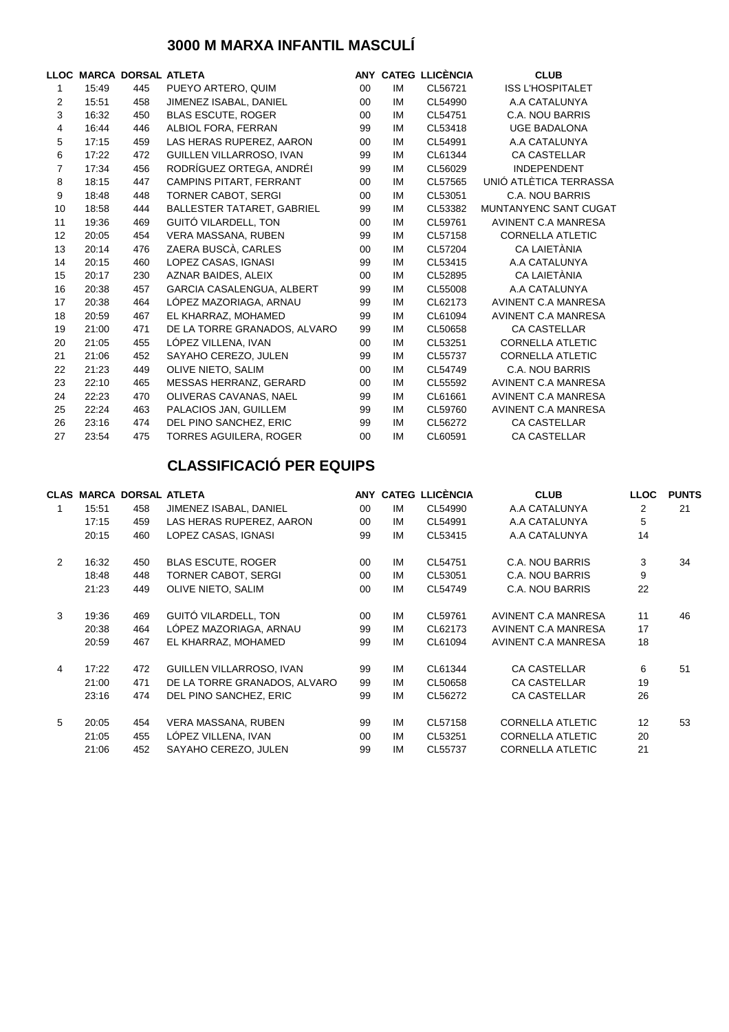### **3000 M MARXA INFANTIL MASCULÍ**

|                |       | LLOC MARCA DORSAL ATLETA |                                  |        |    | ANY CATEG LLICÈNCIA | <b>CLUB</b>                |
|----------------|-------|--------------------------|----------------------------------|--------|----|---------------------|----------------------------|
| 1              | 15:49 | 445                      | PUEYO ARTERO, QUIM               | 00     | IM | CL56721             | <b>ISS L'HOSPITALET</b>    |
| 2              | 15:51 | 458                      | JIMENEZ ISABAL, DANIEL           | 00     | IM | CL54990             | A.A CATALUNYA              |
| 3              | 16:32 | 450                      | <b>BLAS ESCUTE, ROGER</b>        | $00\,$ | IM | CL54751             | C.A. NOU BARRIS            |
| 4              | 16:44 | 446                      | ALBIOL FORA, FERRAN              | 99     | IM | CL53418             | <b>UGE BADALONA</b>        |
| 5              | 17:15 | 459                      | LAS HERAS RUPEREZ, AARON         | 00     | IM | CL54991             | A.A CATALUNYA              |
| 6              | 17:22 | 472                      | GUILLEN VILLARROSO, IVAN         | 99     | IM | CL61344             | <b>CA CASTELLAR</b>        |
| $\overline{7}$ | 17:34 | 456                      | RODRÍGUEZ ORTEGA, ANDRÉI         | 99     | IM | CL56029             | <b>INDEPENDENT</b>         |
| 8              | 18:15 | 447                      | <b>CAMPINS PITART, FERRANT</b>   | 00     | IM | CL57565             | UNIÓ ATLÈTICA TERRASSA     |
| 9              | 18:48 | 448                      | <b>TORNER CABOT, SERGI</b>       | 00     | IM | CL53051             | C.A. NOU BARRIS            |
| 10             | 18:58 | 444                      | BALLESTER TATARET, GABRIEL       | 99     | IM | CL53382             | MUNTANYENC SANT CUGAT      |
| 11             | 19:36 | 469                      | GUITÓ VILARDELL, TON             | 00     | IM | CL59761             | AVINENT C.A MANRESA        |
| 12             | 20:05 | 454                      | VERA MASSANA, RUBEN              | 99     | IM | CL57158             | <b>CORNELLA ATLETIC</b>    |
| 13             | 20:14 | 476                      | ZAERA BUSCÀ, CARLES              | 00     | IM | CL57204             | CA LAIETÀNIA               |
| 14             | 20:15 | 460                      | LOPEZ CASAS, IGNASI              | 99     | IM | CL53415             | A.A CATALUNYA              |
| 15             | 20:17 | 230                      | AZNAR BAIDES, ALEIX              | 00     | IM | CL52895             | CA LAIETÀNIA               |
| 16             | 20:38 | 457                      | <b>GARCIA CASALENGUA, ALBERT</b> | 99     | IM | CL55008             | A.A CATALUNYA              |
| 17             | 20:38 | 464                      | LÓPEZ MAZORIAGA, ARNAU           | 99     | IM | CL62173             | <b>AVINENT C.A MANRESA</b> |
| 18             | 20:59 | 467                      | EL KHARRAZ, MOHAMED              | 99     | IM | CL61094             | <b>AVINENT C.A MANRESA</b> |
| 19             | 21:00 | 471                      | DE LA TORRE GRANADOS, ALVARO     | 99     | IM | CL50658             | <b>CA CASTELLAR</b>        |
| 20             | 21:05 | 455                      | LÓPEZ VILLENA, IVAN              | 00     | IM | CL53251             | <b>CORNELLA ATLETIC</b>    |
| 21             | 21:06 | 452                      | SAYAHO CEREZO, JULEN             | 99     | IM | CL55737             | <b>CORNELLA ATLETIC</b>    |
| 22             | 21:23 | 449                      | OLIVE NIETO, SALIM               | $00\,$ | IM | CL54749             | C.A. NOU BARRIS            |
| 23             | 22:10 | 465                      | MESSAS HERRANZ, GERARD           | 00     | IM | CL55592             | <b>AVINENT C.A MANRESA</b> |
| 24             | 22:23 | 470                      | OLIVERAS CAVANAS, NAEL           | 99     | IM | CL61661             | AVINENT C.A MANRESA        |
| 25             | 22:24 | 463                      | PALACIOS JAN, GUILLEM            | 99     | IM | CL59760             | <b>AVINENT C.A MANRESA</b> |
| 26             | 23:16 | 474                      | DEL PINO SANCHEZ, ERIC           | 99     | IM | CL56272             | <b>CA CASTELLAR</b>        |
| 27             | 23:54 | 475                      | <b>TORRES AGUILERA, ROGER</b>    | 00     | IM | CL60591             | <b>CA CASTELLAR</b>        |

|   |       | <b>CLAS MARCA DORSAL ATLETA</b> |                              |         |           | ANY CATEG LLICÈNCIA | <b>CLUB</b>             | <b>LLOC</b> | <b>PUNTS</b> |
|---|-------|---------------------------------|------------------------------|---------|-----------|---------------------|-------------------------|-------------|--------------|
| 1 | 15:51 | 458                             | JIMENEZ ISABAL, DANIEL       | $00\,$  | IM        | CL54990             | A.A CATALUNYA           | 2           | 21           |
|   | 17:15 | 459                             | LAS HERAS RUPEREZ, AARON     | 00      | IM        | CL54991             | A.A CATALUNYA           | 5           |              |
|   | 20:15 | 460                             | LOPEZ CASAS, IGNASI          | 99      | IM        | CL53415             | A.A CATALUNYA           | 14          |              |
| 2 | 16:32 | 450                             | <b>BLAS ESCUTE, ROGER</b>    | $00 \,$ | <b>IM</b> | CL54751             | C.A. NOU BARRIS         | 3           | 34           |
|   | 18:48 | 448                             | <b>TORNER CABOT, SERGI</b>   | 00      | <b>IM</b> | CL53051             | C.A. NOU BARRIS         | 9           |              |
|   | 21:23 | 449                             | OLIVE NIETO, SALIM           | 00      | IM        | CL54749             | C.A. NOU BARRIS         | 22          |              |
| 3 | 19:36 | 469                             | GUITÓ VILARDELL, TON         | $00\,$  | <b>IM</b> | CL59761             | AVINENT C.A MANRESA     | 11          | 46           |
|   | 20:38 | 464                             | LÓPEZ MAZORIAGA, ARNAU       | 99      | <b>IM</b> | CL62173             | AVINENT C.A MANRESA     | 17          |              |
|   | 20:59 | 467                             | EL KHARRAZ, MOHAMED          | 99      | IM        | CL61094             | AVINENT C.A MANRESA     | 18          |              |
| 4 | 17:22 | 472                             | GUILLEN VILLARROSO, IVAN     | 99      | <b>IM</b> | CL61344             | <b>CA CASTELLAR</b>     | 6           | 51           |
|   | 21:00 | 471                             | DE LA TORRE GRANADOS, ALVARO | 99      | IM        | CL50658             | <b>CA CASTELLAR</b>     | 19          |              |
|   | 23:16 | 474                             | DEL PINO SANCHEZ, ERIC       | 99      | <b>IM</b> | CL56272             | <b>CA CASTELLAR</b>     | 26          |              |
| 5 | 20:05 | 454                             | VERA MASSANA, RUBEN          | 99      | <b>IM</b> | CL57158             | <b>CORNELLA ATLETIC</b> | 12          | 53           |
|   | 21:05 | 455                             | LÓPEZ VILLENA, IVAN          | 00      | <b>IM</b> | CL53251             | <b>CORNELLA ATLETIC</b> | 20          |              |
|   | 21:06 | 452                             | SAYAHO CEREZO, JULEN         | 99      | IM        | CL55737             | <b>CORNELLA ATLETIC</b> | 21          |              |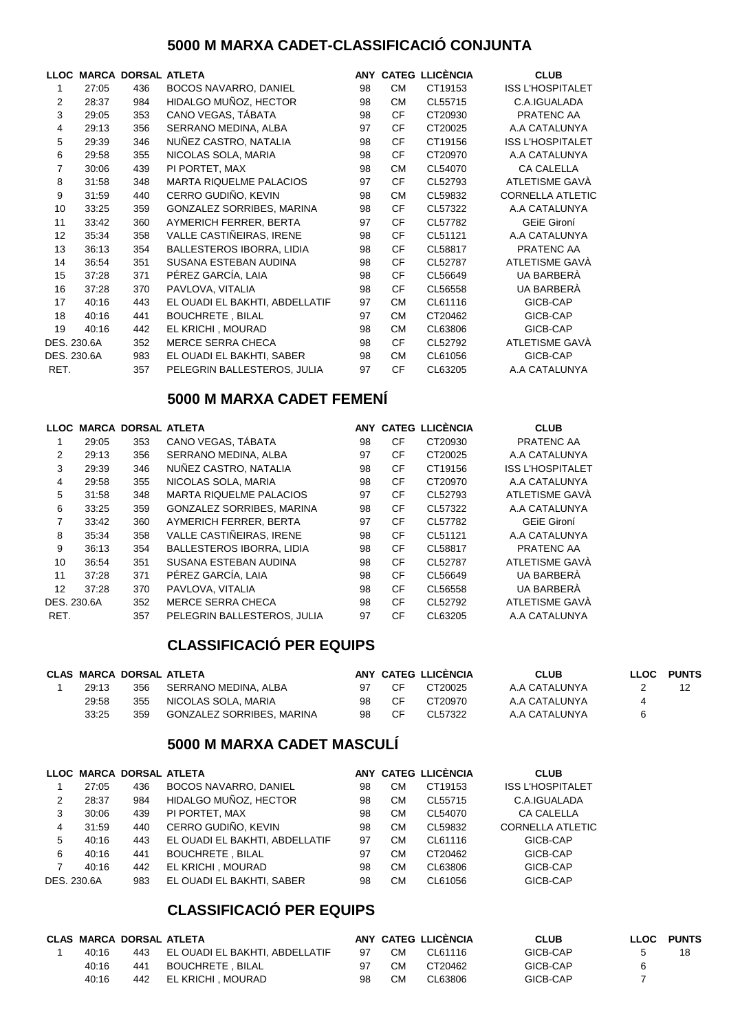#### **5000 M MARXA CADET-CLASSIFICACIÓ CONJUNTA**

|             |       | LLOC MARCA DORSAL ATLETA |                                |    |           | ANY CATEG LLICÈNCIA | <b>CLUB</b>             |
|-------------|-------|--------------------------|--------------------------------|----|-----------|---------------------|-------------------------|
|             | 27:05 | 436                      | <b>BOCOS NAVARRO, DANIEL</b>   | 98 | <b>CM</b> | CT19153             | <b>ISS L'HOSPITALET</b> |
| 2           | 28:37 | 984                      | HIDALGO MUÑOZ, HECTOR          | 98 | <b>CM</b> | CL55715             | C.A.IGUALADA            |
| 3           | 29:05 | 353                      | CANO VEGAS, TÁBATA             | 98 | <b>CF</b> | CT20930             | PRATENC AA              |
| 4           | 29:13 | 356                      | SERRANO MEDINA, ALBA           | 97 | CF        | CT20025             | A.A CATALUNYA           |
| 5           | 29:39 | 346                      | NUÑEZ CASTRO, NATALIA          | 98 | CF        | CT19156             | <b>ISS L'HOSPITALET</b> |
| 6           | 29:58 | 355                      | NICOLAS SOLA, MARIA            | 98 | <b>CF</b> | CT20970             | A.A CATALUNYA           |
| 7           | 30:06 | 439                      | PI PORTET, MAX                 | 98 | <b>CM</b> | CL54070             | <b>CA CALELLA</b>       |
| 8           | 31:58 | 348                      | <b>MARTA RIQUELME PALACIOS</b> | 97 | <b>CF</b> | CL52793             | ATLETISME GAVA          |
| 9           | 31:59 | 440                      | CERRO GUDIÑO, KEVIN            | 98 | <b>CM</b> | CL59832             | <b>CORNELLA ATLETIC</b> |
| 10          | 33:25 | 359                      | GONZALEZ SORRIBES, MARINA      | 98 | <b>CF</b> | CL57322             | A.A CATALUNYA           |
| 11          | 33:42 | 360                      | AYMERICH FERRER, BERTA         | 97 | <b>CF</b> | CL57782             | <b>GEIE Gironí</b>      |
| 12          | 35:34 | 358                      | VALLE CASTIÑEIRAS, IRENE       | 98 | <b>CF</b> | CL51121             | A.A CATALUNYA           |
| 13          | 36:13 | 354                      | BALLESTEROS IBORRA, LIDIA      | 98 | <b>CF</b> | CL58817             | PRATENC AA              |
| 14          | 36:54 | 351                      | SUSANA ESTEBAN AUDINA          | 98 | <b>CF</b> | CL52787             | ATLETISME GAVÀ          |
| 15          | 37:28 | 371                      | PÉREZ GARCÍA, LAIA             | 98 | CF        | CL56649             | UA BARBERÀ              |
| 16          | 37:28 | 370                      | PAVLOVA, VITALIA               | 98 | <b>CF</b> | CL56558             | UA BARBERÀ              |
| 17          | 40:16 | 443                      | EL OUADI EL BAKHTI, ABDELLATIF | 97 | <b>CM</b> | CL61116             | GICB-CAP                |
| 18          | 40:16 | 441                      | <b>BOUCHRETE, BILAL</b>        | 97 | <b>CM</b> | CT20462             | GICB-CAP                |
| 19          | 40:16 | 442                      | EL KRICHI, MOURAD              | 98 | <b>CM</b> | CL63806             | GICB-CAP                |
| DES. 230.6A |       | 352                      | <b>MERCE SERRA CHECA</b>       | 98 | <b>CF</b> | CL52792             | ATLETISME GAVÀ          |
| DES. 230.6A |       | 983                      | EL OUADI EL BAKHTI, SABER      | 98 | <b>CM</b> | CL61056             | GICB-CAP                |
| RET.        |       | 357                      | PELEGRIN BALLESTEROS, JULIA    | 97 | CF        | CL63205             | A.A CATALUNYA           |

### **5000 M MARXA CADET FEMENÍ**

| <b>LLOC</b> |       | <b>MARCA DORSAL ATLETA</b> |                                  |    |           | ANY CATEG LLICÈNCIA | <b>CLUB</b>             |
|-------------|-------|----------------------------|----------------------------------|----|-----------|---------------------|-------------------------|
|             | 29:05 | 353                        | CANO VEGAS, TÁBATA               | 98 | CF        | CT20930             | PRATENC AA              |
| 2           | 29:13 | 356                        | SERRANO MEDINA, ALBA             | 97 | <b>CF</b> | CT20025             | A.A CATALUNYA           |
| 3           | 29:39 | 346                        | NUÑEZ CASTRO, NATALIA            | 98 | CF        | CT19156             | <b>ISS L'HOSPITALET</b> |
| 4           | 29:58 | 355                        | NICOLAS SOLA, MARIA              | 98 | <b>CF</b> | CT20970             | A.A CATALUNYA           |
| 5           | 31:58 | 348                        | <b>MARTA RIQUELME PALACIOS</b>   | 97 | <b>CF</b> | CL52793             | <b>ATLETISME GAVA</b>   |
| 6           | 33:25 | 359                        | <b>GONZALEZ SORRIBES, MARINA</b> | 98 | <b>CF</b> | CL57322             | A.A CATALUNYA           |
| 7           | 33:42 | 360                        | AYMERICH FERRER, BERTA           | 97 | <b>CF</b> | CL57782             | <b>GEIE Gironí</b>      |
| 8           | 35:34 | 358                        | VALLE CASTIÑEIRAS. IRENE         | 98 | <b>CF</b> | CL51121             | A.A CATALUNYA           |
| 9           | 36:13 | 354                        | <b>BALLESTEROS IBORRA, LIDIA</b> | 98 | <b>CF</b> | CL58817             | <b>PRATENC AA</b>       |
| 10          | 36:54 | 351                        | SUSANA ESTEBAN AUDINA            | 98 | <b>CF</b> | CL52787             | <b>ATLETISME GAVA</b>   |
| 11          | 37:28 | 371                        | PÉREZ GARCÍA. LAIA               | 98 | <b>CF</b> | CL56649             | UA BARBERÀ              |
| 12          | 37:28 | 370                        | PAVLOVA, VITALIA                 | 98 | <b>CF</b> | CL56558             | UA BARBERA              |
| DES. 230.6A |       | 352                        | <b>MERCE SERRA CHECA</b>         | 98 | <b>CF</b> | CL52792             | ATLETISME GAVÀ          |
| RET.        |       | 357                        | PELEGRIN BALLESTEROS, JULIA      | 97 | <b>CF</b> | CL63205             | A.A CATALUNYA           |

### **CLASSIFICACIÓ PER EQUIPS**

|       | <b>CLAS MARCA DORSAL ATLETA</b> |                           |    |     | ANY CATEG LLICENCIA | <b>CLUB</b>   | <b>LLOC</b> | <b>PUNTS</b> |
|-------|---------------------------------|---------------------------|----|-----|---------------------|---------------|-------------|--------------|
| 29:13 | 356                             | SERRANO MEDINA. ALBA      | 97 | -CF | CT20025             | A.A CATALUNYA |             |              |
| 29:58 | 355                             | NICOLAS SOLA, MARIA       | 98 | CF. | CT20970             | A.A CATALUNYA |             |              |
| 33:25 | 359                             | GONZALEZ SORRIBES, MARINA | 98 | CF  | CL57322             | A.A CATALUNYA |             |              |

#### **5000 M MARXA CADET MASCULÍ**

|             |       | LLOC MARCA DORSAL ATLETA |                                |    |    | ANY CATEG LLICÈNCIA | <b>CLUB</b>             |
|-------------|-------|--------------------------|--------------------------------|----|----|---------------------|-------------------------|
|             | 27:05 | 436                      | <b>BOCOS NAVARRO, DANIEL</b>   | 98 | CМ | CT19153             | <b>ISS L'HOSPITALET</b> |
| 2           | 28:37 | 984                      | HIDALGO MUÑOZ, HECTOR          | 98 | CМ | CL55715             | C.A.IGUALADA            |
| 3           | 30:06 | 439                      | PI PORTET. MAX                 | 98 | CМ | CL54070             | <b>CA CALELLA</b>       |
| 4           | 31:59 | 440                      | CERRO GUDIÑO, KEVIN            | 98 | СM | CL59832             | <b>CORNELLA ATLETIC</b> |
| 5           | 40:16 | 443                      | EL OUADI EL BAKHTI. ABDELLATIF | 97 | CМ | CL61116             | GICB-CAP                |
| 6           | 40:16 | 441                      | <b>BOUCHRETE, BILAL</b>        | 97 | CМ | CT20462             | GICB-CAP                |
| 7           | 40:16 | 442                      | EL KRICHI . MOURAD             | 98 | СM | CL63806             | GICB-CAP                |
| DES. 230.6A |       | 983                      | EL OUADI EL BAKHTI. SABER      | 98 | CМ | CL61056             | GICB-CAP                |

|       |     | <b>CLAS MARCA DORSAL ATLETA</b>    |    |     | ANY CATEG LLICENCIA | <b>CLUB</b> | LLOC | <b>PUNTS</b> |
|-------|-----|------------------------------------|----|-----|---------------------|-------------|------|--------------|
| 40:16 |     | 443 EL OUADI EL BAKHTI. ABDELLATIF | 97 | CМ  | CL61116             | GICB-CAP    |      | 18           |
| 40:16 | 441 | BOUCHRETE . BILAL                  | 97 | CM. | CT20462             | GICB-CAP    |      |              |
| 40:16 |     | 442 EL KRICHI . MOURAD             | 98 | CМ  | CL63806             | GICB-CAP    |      |              |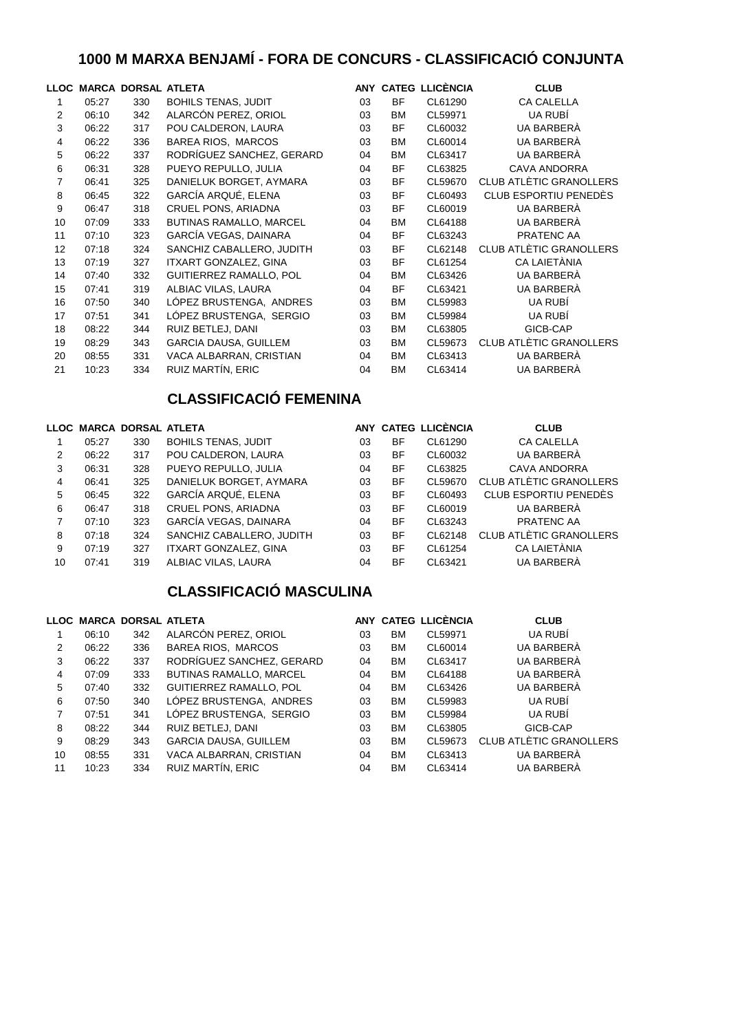## **1000 M MARXA BENJAMÍ - FORA DE CONCURS - CLASSIFICACIÓ CONJUNTA**

|    |       | LLOC MARCA DORSAL ATLETA |                              |    |           | ANY CATEG LLICÈNCIA | <b>CLUB</b>                    |
|----|-------|--------------------------|------------------------------|----|-----------|---------------------|--------------------------------|
| 1  | 05:27 | 330                      | <b>BOHILS TENAS, JUDIT</b>   | 03 | <b>BF</b> | CL61290             | <b>CA CALELLA</b>              |
| 2  | 06:10 | 342                      | ALARCÓN PEREZ, ORIOL         | 03 | ВM        | CL59971             | UA RUBÍ                        |
| 3  | 06:22 | 317                      | POU CALDERON, LAURA          | 03 | <b>BF</b> | CL60032             | UA BARBERÀ                     |
| 4  | 06:22 | 336                      | BAREA RIOS, MARCOS           | 03 | ВM        | CL60014             | UA BARBERÀ                     |
| 5  | 06:22 | 337                      | RODRÍGUEZ SANCHEZ, GERARD    | 04 | <b>BM</b> | CL63417             | UA BARBERÀ                     |
| 6  | 06:31 | 328                      | PUEYO REPULLO, JULIA         | 04 | <b>BF</b> | CL63825             | <b>CAVA ANDORRA</b>            |
| 7  | 06:41 | 325                      | DANIELUK BORGET, AYMARA      | 03 | <b>BF</b> | CL59670             | <b>CLUB ATLÈTIC GRANOLLERS</b> |
| 8  | 06:45 | 322                      | GARCÍA ARQUÉ, ELENA          | 03 | <b>BF</b> | CL60493             | CLUB ESPORTIU PENEDÈS          |
| 9  | 06:47 | 318                      | CRUEL PONS, ARIADNA          | 03 | <b>BF</b> | CL60019             | UA BARBERÀ                     |
| 10 | 07:09 | 333                      | BUTINAS RAMALLO, MARCEL      | 04 | <b>BM</b> | CL64188             | UA BARBERÀ                     |
| 11 | 07:10 | 323                      | GARCÍA VEGAS, DAINARA        | 04 | <b>BF</b> | CL63243             | PRATENC AA                     |
| 12 | 07:18 | 324                      | SANCHIZ CABALLERO, JUDITH    | 03 | <b>BF</b> | CL62148             | CLUB ATLÈTIC GRANOLLERS        |
| 13 | 07:19 | 327                      | ITXART GONZALEZ, GINA        | 03 | <b>BF</b> | CL61254             | CA LAIETÀNIA                   |
| 14 | 07:40 | 332                      | GUITIERREZ RAMALLO, POL      | 04 | <b>BM</b> | CL63426             | UA BARBERÀ                     |
| 15 | 07:41 | 319                      | ALBIAC VILAS, LAURA          | 04 | <b>BF</b> | CL63421             | UA BARBERÀ                     |
| 16 | 07:50 | 340                      | LÓPEZ BRUSTENGA, ANDRES      | 03 | <b>BM</b> | CL59983             | UA RUBÍ                        |
| 17 | 07:51 | 341                      | LÓPEZ BRUSTENGA, SERGIO      | 03 | ВM        | CL59984             | UA RUBÍ                        |
| 18 | 08:22 | 344                      | RUIZ BETLEJ, DANI            | 03 | ВM        | CL63805             | GICB-CAP                       |
| 19 | 08:29 | 343                      | <b>GARCIA DAUSA, GUILLEM</b> | 03 | <b>BM</b> | CL59673             | CLUB ATLÈTIC GRANOLLERS        |
| 20 | 08:55 | 331                      | VACA ALBARRAN, CRISTIAN      | 04 | ВM        | CL63413             | UA BARBERÀ                     |
| 21 | 10:23 | 334                      | RUIZ MARTÍN, ERIC            | 04 | <b>BM</b> | CL63414             | UA BARBERÀ                     |

### **CLASSIFICACIÓ FEMENINA**

|    |       | LLOC MARCA DORSAL ATLETA |                              |    |           | ANY CATEG LLICÈNCIA | <b>CLUB</b>             |
|----|-------|--------------------------|------------------------------|----|-----------|---------------------|-------------------------|
|    | 05:27 | 330                      | <b>BOHILS TENAS, JUDIT</b>   | 03 | BF        | CL61290             | <b>CA CALELLA</b>       |
| 2  | 06:22 | 317                      | POU CALDERON, LAURA          | 03 | <b>BF</b> | CL60032             | UA BARBERÀ              |
| 3  | 06:31 | 328                      | PUEYO REPULLO, JULIA         | 04 | BF        | CL63825             | <b>CAVA ANDORRA</b>     |
| 4  | 06:41 | 325                      | DANIELUK BORGET, AYMARA      | 03 | <b>BF</b> | CL59670             | CLUB ATLÈTIC GRANOLLERS |
| 5  | 06:45 | 322                      | GARCÍA ARQUÉ, ELENA          | 03 | <b>BF</b> | CL60493             | CLUB ESPORTIU PENEDÈS   |
| 6  | 06:47 | 318                      | CRUEL PONS, ARIADNA          | 03 | <b>BF</b> | CL60019             | UA BARBERÀ              |
|    | 07:10 | 323                      | GARCÍA VEGAS, DAINARA        | 04 | <b>BF</b> | CL63243             | PRATENC AA              |
| 8  | 07:18 | 324                      | SANCHIZ CABALLERO, JUDITH    | 03 | <b>BF</b> | CL62148             | CLUB ATLÈTIC GRANOLLERS |
| 9  | 07:19 | 327                      | <b>ITXART GONZALEZ, GINA</b> | 03 | <b>BF</b> | CL61254             | <b>CA LAIETÀNIA</b>     |
| 10 | 07:41 | 319                      | ALBIAC VILAS, LAURA          | 04 | <b>BF</b> | CL63421             | UA BARBERÀ              |

### **CLASSIFICACIÓ MASCULINA**

|       |     |                                |                          |           |         | <b>CLUB</b>             |
|-------|-----|--------------------------------|--------------------------|-----------|---------|-------------------------|
| 06:10 | 342 | ALARCÓN PEREZ, ORIOL           | 03                       | <b>BM</b> | CL59971 | UA RUBÍ                 |
| 06:22 | 336 | BAREA RIOS, MARCOS             | 03                       | <b>BM</b> | CL60014 | UA BARBERÀ              |
| 06:22 | 337 | RODRÍGUEZ SANCHEZ, GERARD      | 04                       | <b>BM</b> | CL63417 | UA BARBERÀ              |
| 07:09 | 333 | <b>BUTINAS RAMALLO, MARCEL</b> | 04                       | <b>BM</b> | CL64188 | UA BARBERÀ              |
| 07:40 | 332 | <b>GUITIERREZ RAMALLO, POL</b> | 04                       | <b>BM</b> | CL63426 | UA BARBERÀ              |
| 07:50 | 340 | LÓPEZ BRUSTENGA. ANDRES        | 03                       | <b>BM</b> | CL59983 | UA RUBÍ                 |
| 07:51 | 341 | LÓPEZ BRUSTENGA, SERGIO        | 03                       | <b>BM</b> | CL59984 | UA RUBÍ                 |
| 08:22 | 344 | RUIZ BETLEJ, DANI              | 03                       | <b>BM</b> | CL63805 | GICB-CAP                |
| 08:29 | 343 | <b>GARCIA DAUSA, GUILLEM</b>   | 03                       | <b>BM</b> | CL59673 | CLUB ATLÈTIC GRANOLLERS |
| 08:55 | 331 | VACA ALBARRAN, CRISTIAN        | 04                       | <b>BM</b> | CL63413 | UA BARBERÀ              |
| 10:23 | 334 | RUIZ MARTÍN, ERIC              | 04                       | BM        | CL63414 | UA BARBERÀ              |
|       |     |                                | LLOC MARCA DORSAL ATLETA |           |         | ANY CATEG LLICÈNCIA     |